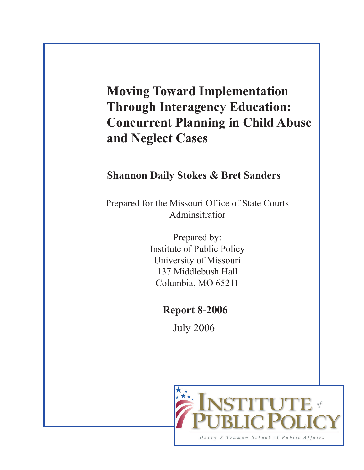## **Moving Toward Implementation Through Interagency Education: Concurrent Planning in Child Abuse and Neglect Cases**

## **Shannon Daily Stokes & Bret Sanders**

Prepared for the Missouri Office of State Courts Adminsitratior

> Prepared by: Institute of Public Policy University of Missouri 137 Middlebush Hall Columbia, MO 65211

### **Report 8-2006**

July 2006

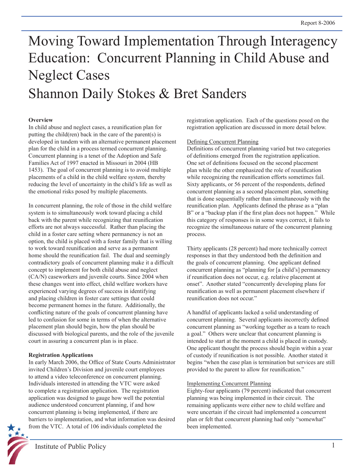# Moving Toward Implementation Through Interagency Education: Concurrent Planning in Child Abuse and Neglect Cases Shannon Daily Stokes & Bret Sanders

#### **Overview**

In child abuse and neglect cases, a reunification plan for putting the child(ren) back in the care of the parent(s) is developed in tandem with an alternative permanent placement plan for the child in a process termed concurrent planning. Concurrent planning is a tenet of the Adoption and Safe Families Act of 1997 enacted in Missouri in 2004 (HB 1453). The goal of concurrent planning is to avoid multiple placements of a child in the child welfare system, thereby reducing the level of uncertainty in the child's life as well as the emotional risks posed by multiple placements.

In concurrent planning, the role of those in the child welfare system is to simultaneously work toward placing a child back with the parent while recognizing that reunification efforts are not always successful. Rather than placing the child in a foster care setting where permanency is not an option, the child is placed with a foster family that is willing to work toward reunification and serve as a permanent home should the reunification fail. The dual and seemingly contradictory goals of concurrent planning make it a difficult concept to implement for both child abuse and neglect (CA/N) caseworkers and juvenile courts. Since 2004 when these changes went into effect, child welfare workers have experienced varying degrees of success in identifying and placing children in foster care settings that could become permanent homes in the future. Additionally, the conflicting nature of the goals of concurrent planning have led to confusion for some in terms of when the alternative placement plan should begin, how the plan should be discussed with biological parents, and the role of the juvenile court in assuring a concurrent plan is in place.

#### **Registration Applications**

In early March 2006, the Office of State Courts Administrator invited Children's Division and juvenile court employees to attend a video teleconference on concurrent planning. Individuals interested in attending the VTC were asked to complete a registration application. The registration application was designed to gauge how well the potential audience understood concurrent planning, if and how concurrent planning is being implemented, if there are barriers to implementation, and what information was desired from the VTC. A total of 106 individuals completed the

registration application. Each of the questions posed on the registration application are discussed in more detail below.

#### Defining Concurrent Planning

Definitions of concurrent planning varied but two categories of definitions emerged from the registration application. One set of definitions focused on the second placement plan while the other emphasized the role of reunification while recognizing the reunification efforts sometimes fail. Sixty applicants, or 56 percent of the respondents, defined concurrent planning as a second placement plan, something that is done sequentially rather than simultaneously with the reunification plan. Applicants defined the phrase as a "plan B" or a "backup plan if the first plan does not happen." While this category of responses is in some ways correct, it fails to recognize the simultaneous nature of the concurrent planning process.

Thirty applicants (28 percent) had more technically correct responses in that they understood both the definition and the goals of concurrent planning. One applicant defined concurrent planning as "planning for [a child's] permanency if reunification does not occur, e.g. relative placement at onset". Another stated "concurrently developing plans for reunification as well as permanent placement elsewhere if reunification does not occur."

A handful of applicants lacked a solid understanding of concurrent planning. Several applicants incorrectly defined concurrent planning as "working together as a team to reach a goal." Others were unclear that concurrent planning is intended to start at the moment a child is placed in custody. One applicant thought the process should begin within a year of custody if reunification is not possible. Another stated it begins "when the case plan is termination but services are still provided to the parent to allow for reunification."

#### Implementing Concurrent Planning

Eighty-four applicants (79 percent) indicated that concurrent planning was being implemented in their circuit. The remaining applicants were either new to child welfare and were uncertain if the circuit had implemented a concurrent plan or felt that concurrent planning had only "somewhat" been implemented.

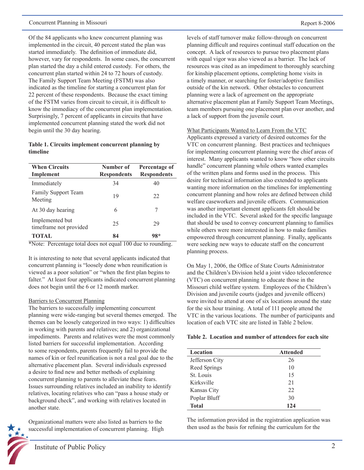Of the 84 applicants who knew concurrent planning was implemented in the circuit, 40 percent stated the plan was started immediately. The definition of immediate did, however, vary for respondents. In some cases, the concurrent plan started the day a child entered custody. For others, the concurrent plan started within 24 to 72 hours of custody. The Family Support Team Meeting (FSTM) was also indicated as the timeline for starting a concurrent plan for 22 percent of these respondents. Because the exact timing of the FSTM varies from circuit to circuit, it is difficult to know the immediacy of the concurrent plan implementation. Surprisingly, 7 percent of applicants in circuits that have implemented concurrent planning stated the work did not begin until the 30 day hearing.

#### **Table 1. Circuits implement concurrent planning by timeline**

| <b>When Circuits</b><br>Implement         | Number of<br><b>Respondents</b> | Percentage of<br><b>Respondents</b> |
|-------------------------------------------|---------------------------------|-------------------------------------|
| Immediately                               | 34                              | 40                                  |
| Family Support Team<br>Meeting            | 19                              | 22                                  |
| At 30 day hearing                         | 6                               | 7                                   |
| Implemented but<br>timeframe not provided | 25                              | 29                                  |
| <b>TOTAL</b>                              | 84                              | $98*$                               |

\*Note: Percentage total does not equal 100 due to rounding.

It is interesting to note that several applicants indicated that concurrent planning is "loosely done when reunification is viewed as a poor solution" or "when the first plan begins to falter." At least four applicants indicated concurrent planning does not begin until the 6 or 12 month marker.

#### Barriers to Concurrent Planning

The barriers to successfully implementing concurrent planning were wide-ranging but several themes emerged. The themes can be loosely categorized in two ways: 1) difficulties in working with parents and relatives; and 2) organizational impediments. Parents and relatives were the most commonly listed barriers for successful implementation. According to some respondents, parents frequently fail to provide the names of kin or feel reunification is not a real goal due to the alternative placement plan. Several individuals expressed a desire to find new and better methods of explaining concurrent planning to parents to alleviate these fears. Issues surrounding relatives included an inability to identify relatives, locating relatives who can "pass a house study or background check", and working with relatives located in another state.

Organizational matters were also listed as barriers to the successful implementation of concurrent planning. High levels of staff turnover make follow-through on concurrent planning difficult and requires continual staff education on the concept. A lack of resources to pursue two placement plans with equal vigor was also viewed as a barrier. The lack of resources was cited as an impediment to thoroughly searching for kinship placement options, completing home visits in a timely manner, or searching for foster/adoptive families outside of the kin network. Other obstacles to concurrent planning were a lack of agreement on the appropriate alternative placement plan at Family Support Team Meetings, team members pursuing one placement plan over another, and a lack of support from the juvenile court.

What Participants Wanted to Learn From the VTC

Applicants expressed a variety of desired outcomes for the VTC on concurrent planning. Best practices and techniques for implementing concurrent planning were the chief areas of interest. Many applicants wanted to know "how other circuits handle" concurrent planning while others wanted examples of the written plans and forms used in the process. This desire for technical information also extended to applicants wanting more information on the timelines for implementing concurrent planning and how roles are defined between child welfare caseworkers and juvenile officers. Communication was another important element applicants felt should be included in the VTC. Several asked for the specific language that should be used to convey concurrent planning to families while others were more interested in how to make families empowered through concurrent planning. Finally, applicants were seeking new ways to educate staff on the concurrent planning process.

On May 1, 2006, the Office of State Courts Administrator and the Children's Division held a joint video teleconference (VTC) on concurrent planning to educate those in the Missouri child welfare system. Employees of the Children's Division and juvenile courts (judges and juvenile officers) were invited to attend at one of six locations around the state for the six hour training. A total of 111 people attend the VTC in the various locations. The number of participants and location of each VTC site are listed in Table 2 below.

#### **Table 2. Location and number of attendees for each site**

| Location       | <b>Attended</b> |  |
|----------------|-----------------|--|
| Jefferson City | 26              |  |
| Reed Springs   | 10              |  |
| St. Louis      | 15              |  |
| Kirksville     | 21              |  |
| Kansas City    | 22              |  |
| Poplar Bluff   | 30              |  |
| Total          | 124             |  |

The information provided in the registration application was then used as the basis for refining the curriculum for the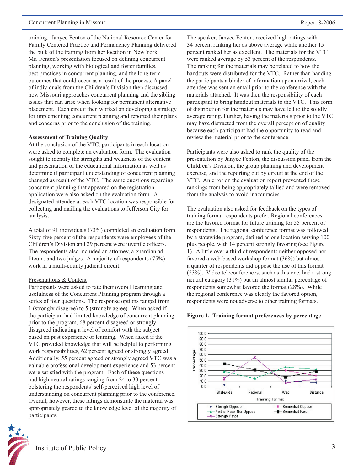training. Janyce Fenton of the National Resource Center for Family Centered Practice and Permanency Planning delivered the bulk of the training from her location in New York. Ms. Fenton's presentation focused on defining concurrent planning, working with biological and foster families, best practices in concurrent planning, and the long term outcomes that could occur as a result of the process. A panel of individuals from the Children's Division then discussed how Missouri approaches concurrent planning and the sibling issues that can arise when looking for permanent alternative placement. Each circuit then worked on developing a strategy for implementing concurrent planning and reported their plans and concerns prior to the conclusion of the training.

#### **Assessment of Training Quality**

At the conclusion of the VTC, participants in each location were asked to complete an evaluation form. The evaluation sought to identify the strengths and weakness of the content and presentation of the educational information as well as determine if participant understanding of concurrent planning changed as result of the VTC. The same questions regarding concurrent planning that appeared on the registration application were also asked on the evaluation form. A designated attendee at each VTC location was responsible for collecting and mailing the evaluations to Jefferson City for analysis.

A total of 91 individuals (73%) completed an evaluation form. Sixty-five percent of the respondents were employees of the Children's Division and 29 percent were juvenile officers. The respondents also included an attorney, a guardian ad liteum, and two judges. A majority of respondents (75%) work in a multi-county judicial circuit.

#### Presentations & Content

Participants were asked to rate their overall learning and usefulness of the Concurrent Planning program through a series of four questions. The response options ranged from 1 (strongly disagree) to 5 (strongly agree). When asked if the participant had limited knowledge of concurrent planning prior to the program, 68 percent disagreed or strongly disagreed indicating a level of comfort with the subject based on past experience or learning. When asked if the VTC provided knowledge that will be helpful to performing work responsibilities, 62 percent agreed or strongly agreed. Additionally, 55 percent agreed or strongly agreed VTC was a valuable professional development experience and 53 percent were satisfied with the program. Each of these questions had high neutral ratings ranging from 24 to 33 percent bolstering the respondents' self-perceived high level of understanding on concurrent planning prior to the conference. Overall, however, these ratings demonstrate the material was appropriately geared to the knowledge level of the majority of participants.

The speaker, Janyce Fenton, received high ratings with 34 percent ranking her as above average while another 15 percent ranked her as excellent. The materials for the VTC were ranked average by 53 percent of the respondents. The ranking for the materials may be related to how the handouts were distributed for the VTC. Rather than handing the participants a binder of information upon arrival, each attendee was sent an email prior to the conference with the materials attached. It was then the responsibility of each participant to bring handout materials to the VTC. This form of distribution for the materials may have led to the solidly average rating. Further, having the materials prior to the VTC may have distracted from the overall perception of quality because each participant had the opportunity to read and review the material prior to the conference.

Participants were also asked to rank the quality of the presentation by Janyce Fenton, the discussion panel from the Children's Division, the group planning and development exercise, and the reporting out by circuit at the end of the VTC. An error on the evaluation report prevented these rankings from being appropriately tallied and were removed from the analysis to avoid inaccuracies.

The evaluation also asked for feedback on the types of training format respondents prefer. Regional conferences are the favored format for future training for 55 percent of respondents. The regional conference format was followed by a statewide program, defined as one location serving 100 plus people, with 14 percent strongly favoring (see Figure 1). A little over a third of respondents neither opposed nor favored a web-based workshop format (36%) but almost a quarter of respondents did oppose the use of this format (23%). Video teleconferences, such as this one, had a strong neutral category (31%) but an almost similar percentage of respondents somewhat favored the format (28%). While the regional conference was clearly the favored option, respondents were not adverse to other training formats.

#### **Figure 1. Training format preferences by percentage**

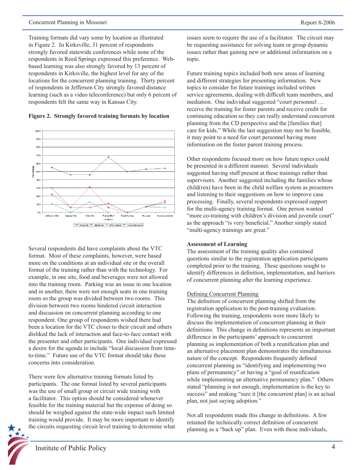Training formats did vary some by location as illustrated in Figure 2. In Kirksville, 31 percent of respondents strongly favored statewide conferences while none of the respondents in Reed Springs expressed this preference. Webbased learning was also strongly favored by 13 percent of respondents in Kirksville, the highest level for any of the locations for the concurrent planning training. Thirty percent of respondents in Jefferson City strongly favored distance learning (such as a video teleconference) but only 6 percent of respondents felt the same way in Kansas City.





Several respondents did have complaints about the VTC format. Most of these complaints, however, were based more on the conditions at an individual site or the overall format of the training rather than with the technology. For example, in one site, food and beverages were not allowed into the training room. Parking was an issue in one location and in another, there were not enough seats in one training room so the group was divided between two rooms. This division between two rooms hindered circuit interaction and discussion on concurrent planning according to one respondent. One group of respondents wished there had been a location for the VTC closer to their circuit and others disliked the lack of interaction and face-to-face contact with the presenter and other participants. One individual expressed a desire for the agenda to include "local discussion from timeto-time." Future use of the VTC format should take these concerns into consideration.

There were few alternative training formats listed by participants. The one format listed by several participants was the use of small group or circuit wide training with a facilitator. This option should be considered whenever feasible for the training material but the expense of doing so should be weighed against the state-wide impact such limited training would provide. It may be more important to identify the circuits requesting circuit level training to determine what



issues seem to require the use of a facilitator. The circuit may be requesting assistance for solving team or group dynamic issues rather than gaining new or additional information on a topic.

Future training topics included both new areas of learning and different strategies for presenting information. New topics to consider for future trainings included written service agreements, dealing with difficult team members, and mediation. One individual suggested "court personnel … receive the training for foster parents and receive credit for continuing education so they can really understand concurrent planning from the CD perspective and the [families that] care for kids." While the last suggestion may not be feasible, it may point to a need for court personnel having more information on the foster parent training process.

Other respondents focused more on how future topics could be presented in a different manner. Several individuals suggested having staff present at these trainings rather than supervisors. Another suggested including the families whose child(ren) have been in the child welfare system as presenters and listening to their suggestions on how to improve case processing. Finally, several respondents expressed support for the multi-agency training format. One person wanted "more co-training with children's division and juvenile court" as the approach "is very beneficial." Another simply stated "multi-agency trainings are great."

#### **Assessment of Learning**

The assessment of the training quality also contained questions similar to the registration application participants completed prior to the training. These questions sought to identify differences in definition, implementation, and barriers of concurrent planning after the learning experience.

#### Defining Concurrent Planning

The definition of concurrent planning shifted from the registration application to the post-training evaluation. Following the training, respondents were more likely to discuss the implementation of concurrent planning in their definitions. This change in definitions represents an important difference in the participants' approach to concurrent planning as implementation of both a reunification plan and an alternative placement plan demonstrates the simultaneous nature of the concept. Respondents frequently defined concurrent planning as "identifying and implementing two plans of permanency" or having a "goal of reunification while implementing an alternative permanency plan." Others stated "planning is not enough, implementation is the key to success" and making "sure it [the concurrent plan] is an actual plan, not just saying adoption."

Not all respondents made this change in definitions. A few retained the technically correct definition of concurrent planning as a "back up" plan. Even with these individuals,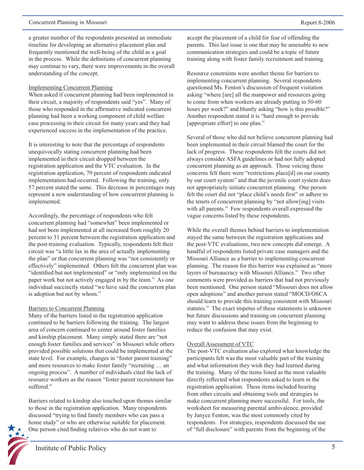a greater number of the respondents presented an immediate timeline for developing an alternative placement plan and frequently mentioned the well-being of the child as a goal in the process. While the definitions of concurrent planning may continue to vary, there were improvements in the overall understanding of the concept.

#### Implementing Concurrent Planning

When asked if concurrent planning had been implemented in their circuit, a majority of respondents said "yes". Many of those who responded in the affirmative indicated concurrent planning had been a working component of child welfare case processing in their circuit for many years and they had experienced success in the implementation of the practice.

It is interesting to note that the percentage of respondents unequivocally stating concurrent planning had been implemented in their circuit dropped between the registration application and the VTC evaluation. In the registration application, 79 percent of respondents indicated implementation had occurred. Following the training, only 57 percent stated the same. This decrease in percentages may represent a new understanding of how concurrent planning is implemented.

Accordingly, the percentage of respondents who felt concurrent planning had "somewhat" been implemented or had not been implemented at all increased from roughly 20 percent to 31 percent between the registration application and the post-training evaluation. Typically, respondents felt their circuit was "a little lax in the area of actually implementing the plan" or that concurrent planning was "not consistently or effectively" implemented. Others felt the concurrent plan was "identified but not implemented" or "only implemented on the paper work but not actively engaged in by the team." As one individual succinctly stated "we have said the concurrent plan is adoption but not by whom."

#### Barriers to Concurrent Planning

Many of the barriers listed in the registration application continued to be barriers following the training. The largest area of concern continued to center around foster families and kinship placement. Many simply stated there are "not enough foster families and services" in Missouri while others provided possible solutions that could be implemented at the state level. For example, changes in "foster parent training" and more resources to make foster family "recruiting … an ongoing process". A number of individuals cited the lack of resource workers as the reason "foster parent recruitment has suffered."

Barriers related to kinship also touched upon themes similar to those in the registration application. Many respondents discussed "trying to find family members who can pass a home study" or who are otherwise suitable for placement. One person cited finding relatives who do not want to

accept the placement of a child for fear of offending the parents. This last issue is one that may be amenable to new communication strategies and could be a topic of future training along with foster family recruitment and training.

Resource constraints were another theme for barriers to implementing concurrent planning. Several respondents questioned Ms. Fenton's discussion of frequent visitation asking "where [are] all the manpower and resources going to come from when workers are already putting in 50-60 hours per week?" and bluntly asking "how is this possible?" Another respondent stated it is "hard enough to provide [appropriate effort] to one plan."

Several of those who did not believe concurrent planning had been implemented in their circuit blamed the court for the lack of progress. These respondents felt the courts did not always consider ASFA guidelines or had not fully adopted concurrent planning as an approach. Those voicing these concerns felt there were "restrictions place[d] on our county by our court system" and that the juvenile court system does not appropriately initiate concurrent planning. One person felt the court did not "place child's needs first" or adhere to the tenets of concurrent planning by "not allow[ing] visits with all parents." Few respondents overall expressed the vague concerns listed by these respondents.

While the overall themes behind barriers to implementation stayed the same between the registration applications and the post-VTC evaluations, two new concepts did emerge. A handful of respondents listed private case managers and the Missouri Alliance as a barrier to implementing concurrent planning. The reason for this barrier was explained as "more layers of bureaucracy with Missouri Alliance." Two other comments were provided as barriers that had not previously been mentioned. One person stated "Missouri does not allow open adoptions" and another person stated "MOCD/OSCA should learn to provide this training consistent with Missouri statutes." The exact impetus of these statements is unknown but future discussions and training on concurrent planning may want to address these issues from the beginning to reduce the confusion that may exist.

#### Overall Assessment of VTC

The post-VTC evaluation also explored what knowledge the participants felt was the most valuable part of the training and what information they wish they had learned during the training. Many of the items listed as the most valuable directly reflected what respondents asked to learn in the registration application. These items included hearing from other circuits and obtaining tools and strategies to make concurrent planning more successful. For tools, the worksheet for measuring parental ambivalence, provided by Janyce Fenton, was the most commonly cited by respondents. For strategies, respondents discussed the use of "full disclosure" with parents from the beginning of the